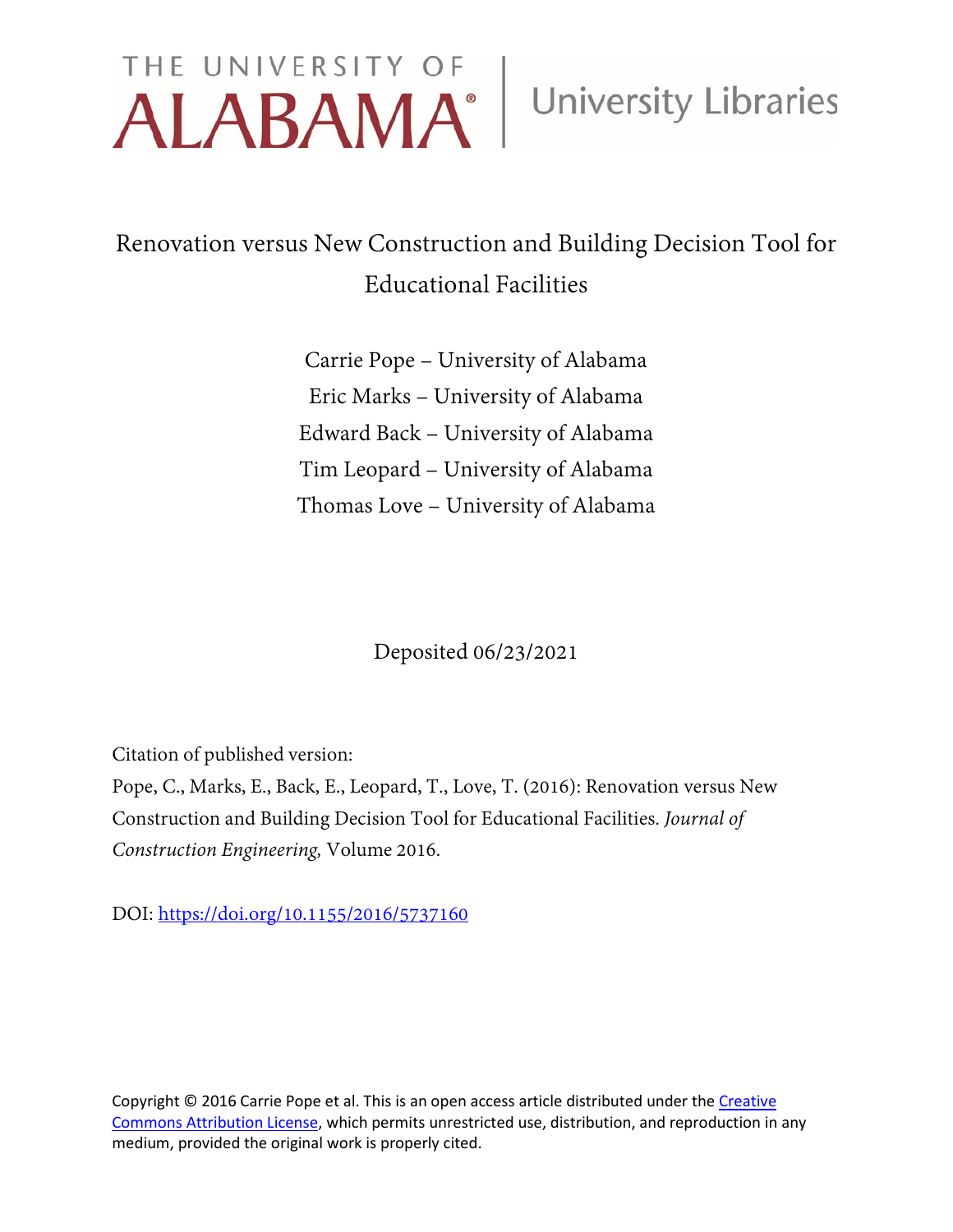# THE UNIVERSITY OF University Libraries

## Renovation versus New Construction and Building Decision Tool for Educational Facilities

Carrie Pope – University of Alabama Eric Marks – University of Alabama Edward Back – University of Alabama Tim Leopard – University of Alabama Thomas Love – University of Alabama

Deposited 06/23/2021

Citation of published version:

Pope, C., Marks, E., Back, E., Leopard, T., Love, T. (2016): Renovation versus New Construction and Building Decision Tool for Educational Facilities. *Journal of Construction Engineering,* Volume 2016.

DOI: <https://doi.org/10.1155/2016/5737160>

Copyright © 2016 Carrie Pope et al. This is an open access article distributed under the Creative [Commons Attribution License,](http://creativecommons.org/licenses/by/4.0/) which permits unrestricted use, distribution, and reproduction in any medium, provided the original work is properly cited.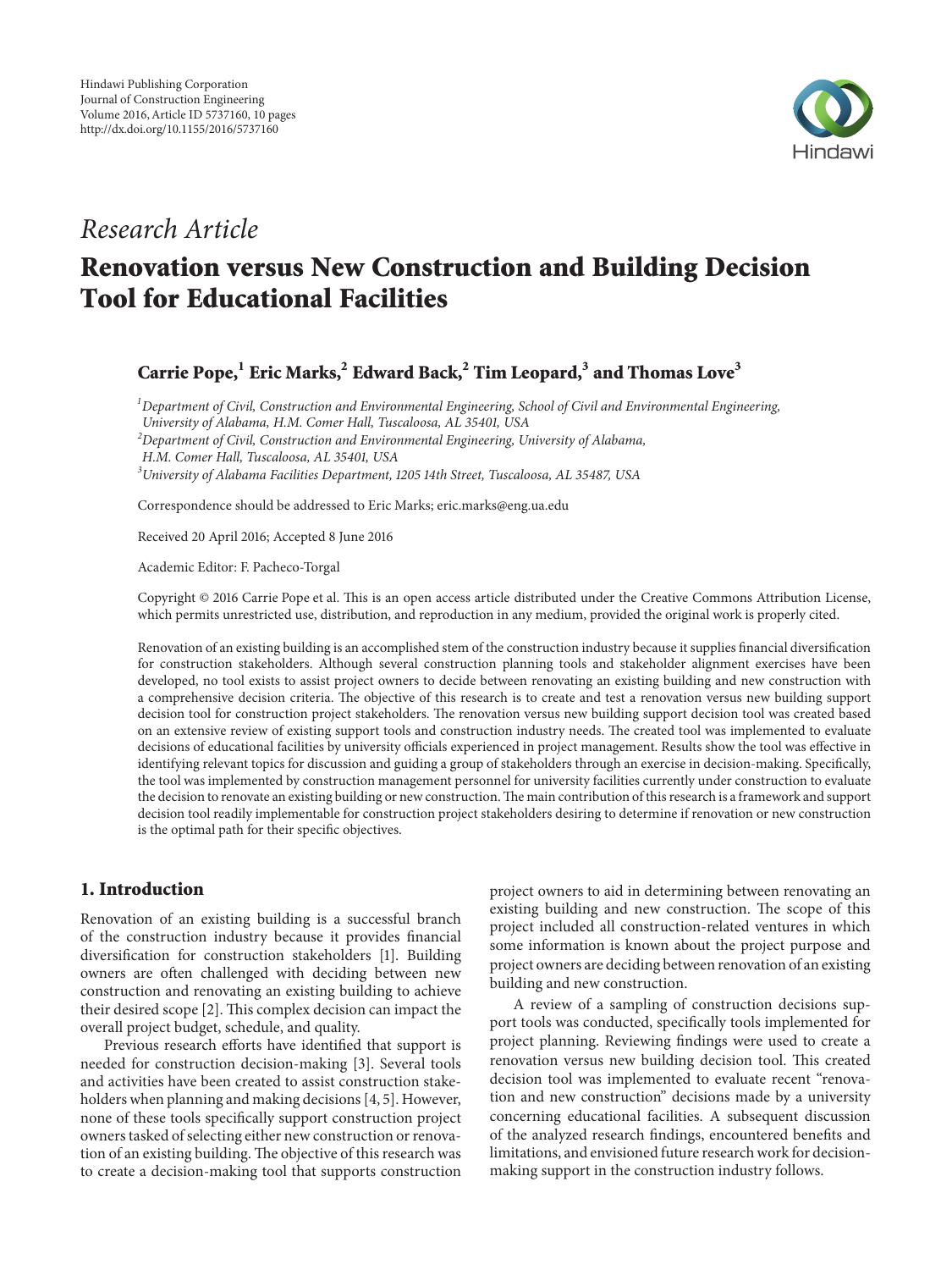

### *Research Article*

## **Renovation versus New Construction and Building Decision Tool for Educational Facilities**

#### **Carrie Pope,1 Eric Marks,2 Edward Back,2 Tim Leopard,3 and Thomas Love<sup>3</sup>**

*1 Department of Civil, Construction and Environmental Engineering, School of Civil and Environmental Engineering,*

*University of Alabama, H.M. Comer Hall, Tuscaloosa, AL 35401, USA*

*2 Department of Civil, Construction and Environmental Engineering, University of Alabama,*

*3 University of Alabama Facilities Department, 1205 14th Street, Tuscaloosa, AL 35487, USA*

Correspondence should be addressed to Eric Marks; eric.marks@eng.ua.edu

Received 20 April 2016; Accepted 8 June 2016

Academic Editor: F. Pacheco-Torgal

Copyright © 2016 Carrie Pope et al. This is an open access article distributed under the Creative Commons Attribution License, which permits unrestricted use, distribution, and reproduction in any medium, provided the original work is properly cited.

Renovation of an existing building is an accomplished stem of the construction industry because it supplies financial diversification for construction stakeholders. Although several construction planning tools and stakeholder alignment exercises have been developed, no tool exists to assist project owners to decide between renovating an existing building and new construction with a comprehensive decision criteria. The objective of this research is to create and test a renovation versus new building support decision tool for construction project stakeholders. The renovation versus new building support decision tool was created based on an extensive review of existing support tools and construction industry needs. The created tool was implemented to evaluate decisions of educational facilities by university officials experienced in project management. Results show the tool was effective in identifying relevant topics for discussion and guiding a group of stakeholders through an exercise in decision-making. Specifically, the tool was implemented by construction management personnel for university facilities currently under construction to evaluate the decision to renovate an existing building or new construction. The main contribution of this research is a framework and support decision tool readily implementable for construction project stakeholders desiring to determine if renovation or new construction is the optimal path for their specific objectives.

#### **1. Introduction**

Renovation of an existing building is a successful branch of the construction industry because it provides financial diversification for construction stakeholders [1]. Building owners are often challenged with deciding between new construction and renovating an existing building to achieve their desired scope [2]. This complex decision can impact the overall project budget, schedule, and quality.

Previous research efforts have identified that support is needed for construction decision-making [3]. Several tools and activities have been created to assist construction stakeholders when planning and making decisions [4, 5]. However, none of these tools specifically support construction project owners tasked of selecting either new construction or renovation of an existing building. The objective of this research was to create a decision-making tool that supports construction

project owners to aid in determining between renovating an existing building and new construction. The scope of this project included all construction-related ventures in which some information is known about the project purpose and project owners are deciding between renovation of an existing building and new construction.

A review of a sampling of construction decisions support tools was conducted, specifically tools implemented for project planning. Reviewing findings were used to create a renovation versus new building decision tool. This created decision tool was implemented to evaluate recent "renovation and new construction" decisions made by a university concerning educational facilities. A subsequent discussion of the analyzed research findings, encountered benefits and limitations, and envisioned future research work for decisionmaking support in the construction industry follows.

*H.M. Comer Hall, Tuscaloosa, AL 35401, USA*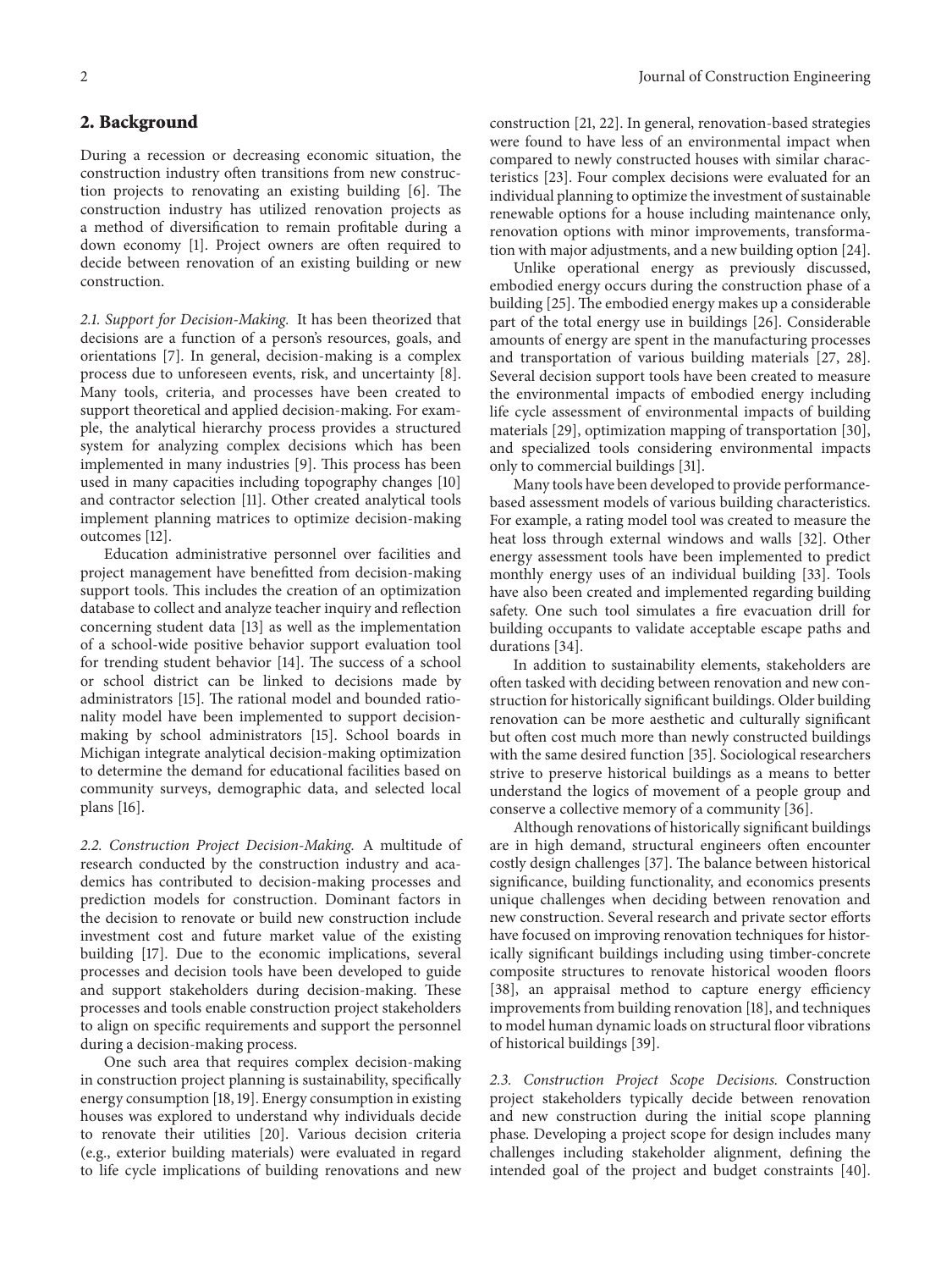#### **2. Background**

During a recession or decreasing economic situation, the construction industry often transitions from new construction projects to renovating an existing building [6]. The construction industry has utilized renovation projects as a method of diversification to remain profitable during a down economy [1]. Project owners are often required to decide between renovation of an existing building or new construction.

*2.1. Support for Decision-Making.* It has been theorized that decisions are a function of a person's resources, goals, and orientations [7]. In general, decision-making is a complex process due to unforeseen events, risk, and uncertainty [8]. Many tools, criteria, and processes have been created to support theoretical and applied decision-making. For example, the analytical hierarchy process provides a structured system for analyzing complex decisions which has been implemented in many industries [9]. This process has been used in many capacities including topography changes [10] and contractor selection [11]. Other created analytical tools implement planning matrices to optimize decision-making outcomes [12].

Education administrative personnel over facilities and project management have benefitted from decision-making support tools. This includes the creation of an optimization database to collect and analyze teacher inquiry and reflection concerning student data [13] as well as the implementation of a school-wide positive behavior support evaluation tool for trending student behavior [14]. The success of a school or school district can be linked to decisions made by administrators [15]. The rational model and bounded rationality model have been implemented to support decisionmaking by school administrators [15]. School boards in Michigan integrate analytical decision-making optimization to determine the demand for educational facilities based on community surveys, demographic data, and selected local plans [16].

*2.2. Construction Project Decision-Making.* A multitude of research conducted by the construction industry and academics has contributed to decision-making processes and prediction models for construction. Dominant factors in the decision to renovate or build new construction include investment cost and future market value of the existing building [17]. Due to the economic implications, several processes and decision tools have been developed to guide and support stakeholders during decision-making. These processes and tools enable construction project stakeholders to align on specific requirements and support the personnel during a decision-making process.

One such area that requires complex decision-making in construction project planning is sustainability, specifically energy consumption [18, 19]. Energy consumption in existing houses was explored to understand why individuals decide to renovate their utilities [20]. Various decision criteria (e.g., exterior building materials) were evaluated in regard to life cycle implications of building renovations and new

construction [21, 22]. In general, renovation-based strategies were found to have less of an environmental impact when compared to newly constructed houses with similar characteristics [23]. Four complex decisions were evaluated for an individual planning to optimize the investment of sustainable renewable options for a house including maintenance only, renovation options with minor improvements, transformation with major adjustments, and a new building option [24].

Unlike operational energy as previously discussed, embodied energy occurs during the construction phase of a building [25]. The embodied energy makes up a considerable part of the total energy use in buildings [26]. Considerable amounts of energy are spent in the manufacturing processes and transportation of various building materials [27, 28]. Several decision support tools have been created to measure the environmental impacts of embodied energy including life cycle assessment of environmental impacts of building materials [29], optimization mapping of transportation [30], and specialized tools considering environmental impacts only to commercial buildings [31].

Many tools have been developed to provide performancebased assessment models of various building characteristics. For example, a rating model tool was created to measure the heat loss through external windows and walls [32]. Other energy assessment tools have been implemented to predict monthly energy uses of an individual building [33]. Tools have also been created and implemented regarding building safety. One such tool simulates a fire evacuation drill for building occupants to validate acceptable escape paths and durations [34].

In addition to sustainability elements, stakeholders are often tasked with deciding between renovation and new construction for historically significant buildings. Older building renovation can be more aesthetic and culturally significant but often cost much more than newly constructed buildings with the same desired function [35]. Sociological researchers strive to preserve historical buildings as a means to better understand the logics of movement of a people group and conserve a collective memory of a community [36].

Although renovations of historically significant buildings are in high demand, structural engineers often encounter costly design challenges [37]. The balance between historical significance, building functionality, and economics presents unique challenges when deciding between renovation and new construction. Several research and private sector efforts have focused on improving renovation techniques for historically significant buildings including using timber-concrete composite structures to renovate historical wooden floors [38], an appraisal method to capture energy efficiency improvements from building renovation [18], and techniques to model human dynamic loads on structural floor vibrations of historical buildings [39].

*2.3. Construction Project Scope Decisions.* Construction project stakeholders typically decide between renovation and new construction during the initial scope planning phase. Developing a project scope for design includes many challenges including stakeholder alignment, defining the intended goal of the project and budget constraints [40].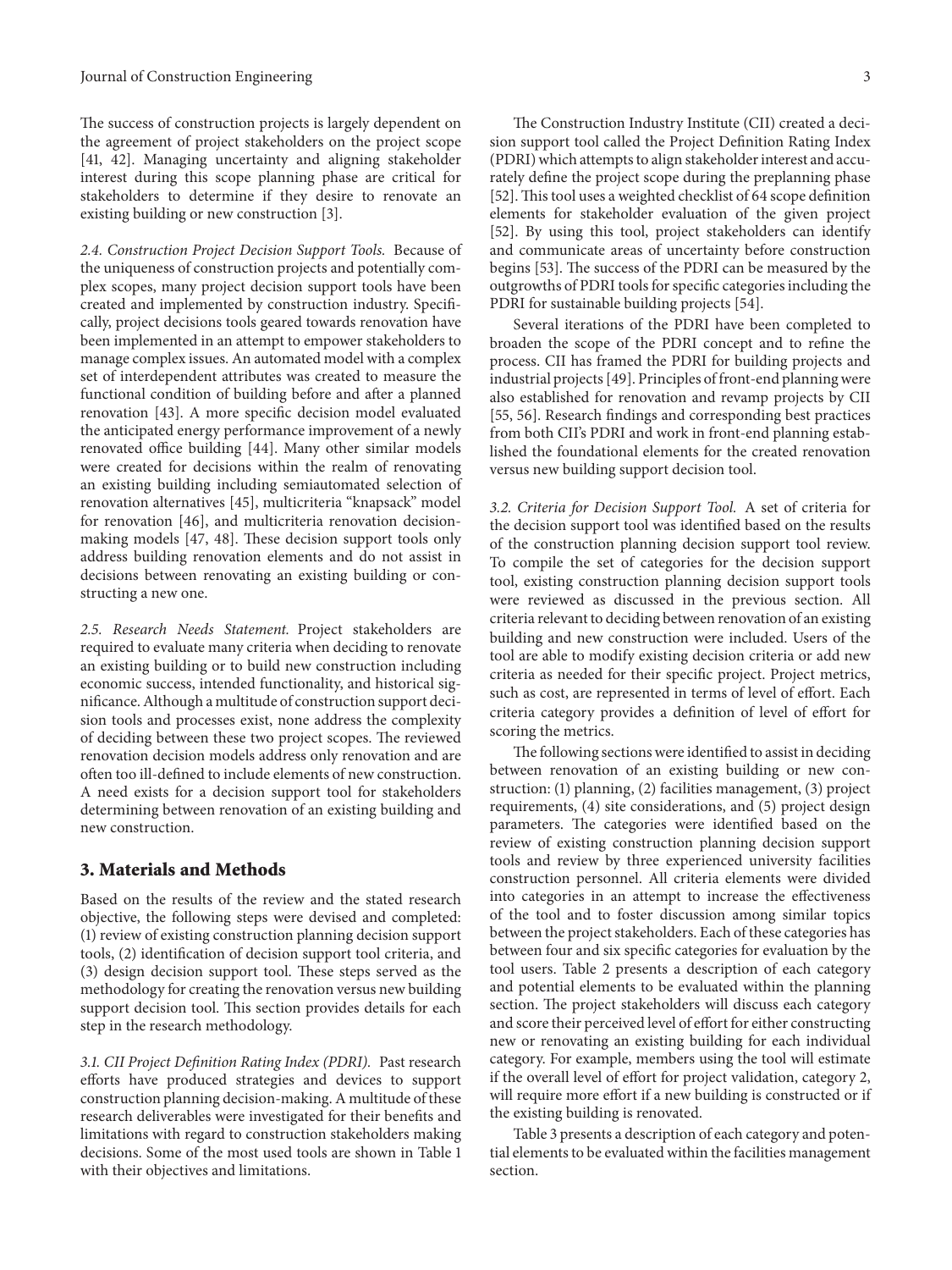The success of construction projects is largely dependent on the agreement of project stakeholders on the project scope [41, 42]. Managing uncertainty and aligning stakeholder interest during this scope planning phase are critical for stakeholders to determine if they desire to renovate an existing building or new construction [3].

*2.4. Construction Project Decision Support Tools.* Because of the uniqueness of construction projects and potentially complex scopes, many project decision support tools have been created and implemented by construction industry. Specifically, project decisions tools geared towards renovation have been implemented in an attempt to empower stakeholders to manage complex issues. An automated model with a complex set of interdependent attributes was created to measure the functional condition of building before and after a planned renovation [43]. A more specific decision model evaluated the anticipated energy performance improvement of a newly renovated office building [44]. Many other similar models were created for decisions within the realm of renovating an existing building including semiautomated selection of renovation alternatives [45], multicriteria "knapsack" model for renovation [46], and multicriteria renovation decisionmaking models [47, 48]. These decision support tools only address building renovation elements and do not assist in decisions between renovating an existing building or constructing a new one.

*2.5. Research Needs Statement.* Project stakeholders are required to evaluate many criteria when deciding to renovate an existing building or to build new construction including economic success, intended functionality, and historical significance. Although a multitude of construction support decision tools and processes exist, none address the complexity of deciding between these two project scopes. The reviewed renovation decision models address only renovation and are often too ill-defined to include elements of new construction. A need exists for a decision support tool for stakeholders determining between renovation of an existing building and new construction.

#### **3. Materials and Methods**

Based on the results of the review and the stated research objective, the following steps were devised and completed: (1) review of existing construction planning decision support tools, (2) identification of decision support tool criteria, and (3) design decision support tool. These steps served as the methodology for creating the renovation versus new building support decision tool. This section provides details for each step in the research methodology.

*3.1. CII Project Definition Rating Index (PDRI).* Past research efforts have produced strategies and devices to support construction planning decision-making. A multitude of these research deliverables were investigated for their benefits and limitations with regard to construction stakeholders making decisions. Some of the most used tools are shown in Table 1 with their objectives and limitations.

The Construction Industry Institute (CII) created a decision support tool called the Project Definition Rating Index (PDRI) which attempts to align stakeholder interest and accurately define the project scope during the preplanning phase [52]. This tool uses a weighted checklist of 64 scope definition elements for stakeholder evaluation of the given project [52]. By using this tool, project stakeholders can identify and communicate areas of uncertainty before construction begins [53]. The success of the PDRI can be measured by the outgrowths of PDRI tools for specific categories including the PDRI for sustainable building projects [54].

Several iterations of the PDRI have been completed to broaden the scope of the PDRI concept and to refine the process. CII has framed the PDRI for building projects and industrial projects [49]. Principles of front-end planning were also established for renovation and revamp projects by CII [55, 56]. Research findings and corresponding best practices from both CII's PDRI and work in front-end planning established the foundational elements for the created renovation versus new building support decision tool.

*3.2. Criteria for Decision Support Tool.* A set of criteria for the decision support tool was identified based on the results of the construction planning decision support tool review. To compile the set of categories for the decision support tool, existing construction planning decision support tools were reviewed as discussed in the previous section. All criteria relevant to deciding between renovation of an existing building and new construction were included. Users of the tool are able to modify existing decision criteria or add new criteria as needed for their specific project. Project metrics, such as cost, are represented in terms of level of effort. Each criteria category provides a definition of level of effort for scoring the metrics.

The following sections were identified to assist in deciding between renovation of an existing building or new construction: (1) planning, (2) facilities management, (3) project requirements, (4) site considerations, and (5) project design parameters. The categories were identified based on the review of existing construction planning decision support tools and review by three experienced university facilities construction personnel. All criteria elements were divided into categories in an attempt to increase the effectiveness of the tool and to foster discussion among similar topics between the project stakeholders. Each of these categories has between four and six specific categories for evaluation by the tool users. Table 2 presents a description of each category and potential elements to be evaluated within the planning section. The project stakeholders will discuss each category and score their perceived level of effort for either constructing new or renovating an existing building for each individual category. For example, members using the tool will estimate if the overall level of effort for project validation, category 2, will require more effort if a new building is constructed or if the existing building is renovated.

Table 3 presents a description of each category and potential elements to be evaluated within the facilities management section.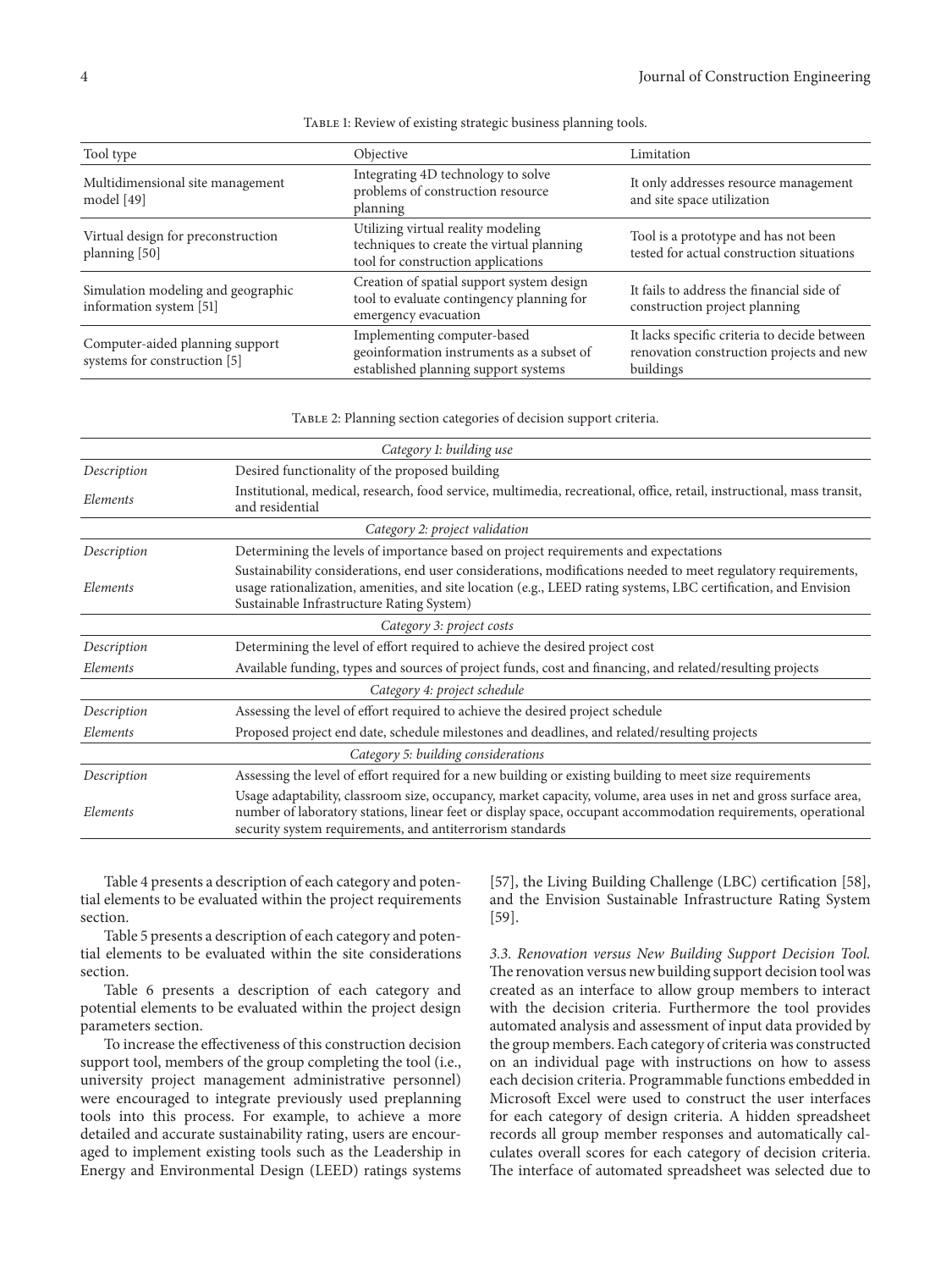| Tool type                                                       | Objective                                                                                                             | Limitation                                                                                            |
|-----------------------------------------------------------------|-----------------------------------------------------------------------------------------------------------------------|-------------------------------------------------------------------------------------------------------|
| Multidimensional site management<br>model [49]                  | Integrating 4D technology to solve<br>problems of construction resource<br>planning                                   | It only addresses resource management<br>and site space utilization                                   |
| Virtual design for preconstruction<br>planning [50]             | Utilizing virtual reality modeling<br>techniques to create the virtual planning<br>tool for construction applications | Tool is a prototype and has not been<br>tested for actual construction situations                     |
| Simulation modeling and geographic<br>information system [51]   | Creation of spatial support system design<br>tool to evaluate contingency planning for<br>emergency evacuation        | It fails to address the financial side of<br>construction project planning                            |
| Computer-aided planning support<br>systems for construction [5] | Implementing computer-based<br>geoinformation instruments as a subset of<br>established planning support systems      | It lacks specific criteria to decide between<br>renovation construction projects and new<br>buildings |

Table 1: Review of existing strategic business planning tools.

Table 2: Planning section categories of decision support criteria.

| Category 1: building use            |                                                                                                                                                                                                                                                                                                |  |  |  |  |  |
|-------------------------------------|------------------------------------------------------------------------------------------------------------------------------------------------------------------------------------------------------------------------------------------------------------------------------------------------|--|--|--|--|--|
| Description                         | Desired functionality of the proposed building                                                                                                                                                                                                                                                 |  |  |  |  |  |
| Elements                            | Institutional, medical, research, food service, multimedia, recreational, office, retail, instructional, mass transit,<br>and residential                                                                                                                                                      |  |  |  |  |  |
|                                     | Category 2: project validation                                                                                                                                                                                                                                                                 |  |  |  |  |  |
| Description                         | Determining the levels of importance based on project requirements and expectations                                                                                                                                                                                                            |  |  |  |  |  |
| Elements                            | Sustainability considerations, end user considerations, modifications needed to meet regulatory requirements,<br>usage rationalization, amenities, and site location (e.g., LEED rating systems, LBC certification, and Envision<br>Sustainable Infrastructure Rating System)                  |  |  |  |  |  |
|                                     | Category 3: project costs                                                                                                                                                                                                                                                                      |  |  |  |  |  |
| Description                         | Determining the level of effort required to achieve the desired project cost                                                                                                                                                                                                                   |  |  |  |  |  |
| Elements                            | Available funding, types and sources of project funds, cost and financing, and related/resulting projects                                                                                                                                                                                      |  |  |  |  |  |
| Category 4: project schedule        |                                                                                                                                                                                                                                                                                                |  |  |  |  |  |
| Description                         | Assessing the level of effort required to achieve the desired project schedule                                                                                                                                                                                                                 |  |  |  |  |  |
| Elements                            | Proposed project end date, schedule milestones and deadlines, and related/resulting projects                                                                                                                                                                                                   |  |  |  |  |  |
| Category 5: building considerations |                                                                                                                                                                                                                                                                                                |  |  |  |  |  |
| Description                         | Assessing the level of effort required for a new building or existing building to meet size requirements                                                                                                                                                                                       |  |  |  |  |  |
| Elements                            | Usage adaptability, classroom size, occupancy, market capacity, volume, area uses in net and gross surface area,<br>number of laboratory stations, linear feet or display space, occupant accommodation requirements, operational<br>security system requirements, and antiterrorism standards |  |  |  |  |  |

Table 4 presents a description of each category and potential elements to be evaluated within the project requirements section.

Table 5 presents a description of each category and potential elements to be evaluated within the site considerations section.

Table 6 presents a description of each category and potential elements to be evaluated within the project design parameters section.

To increase the effectiveness of this construction decision support tool, members of the group completing the tool (i.e., university project management administrative personnel) were encouraged to integrate previously used preplanning tools into this process. For example, to achieve a more detailed and accurate sustainability rating, users are encouraged to implement existing tools such as the Leadership in Energy and Environmental Design (LEED) ratings systems

[57], the Living Building Challenge (LBC) certification [58], and the Envision Sustainable Infrastructure Rating System [59].

*3.3. Renovation versus New Building Support Decision Tool.* The renovation versus new building support decision tool was created as an interface to allow group members to interact with the decision criteria. Furthermore the tool provides automated analysis and assessment of input data provided by the group members. Each category of criteria was constructed on an individual page with instructions on how to assess each decision criteria. Programmable functions embedded in Microsoft Excel were used to construct the user interfaces for each category of design criteria. A hidden spreadsheet records all group member responses and automatically calculates overall scores for each category of decision criteria. The interface of automated spreadsheet was selected due to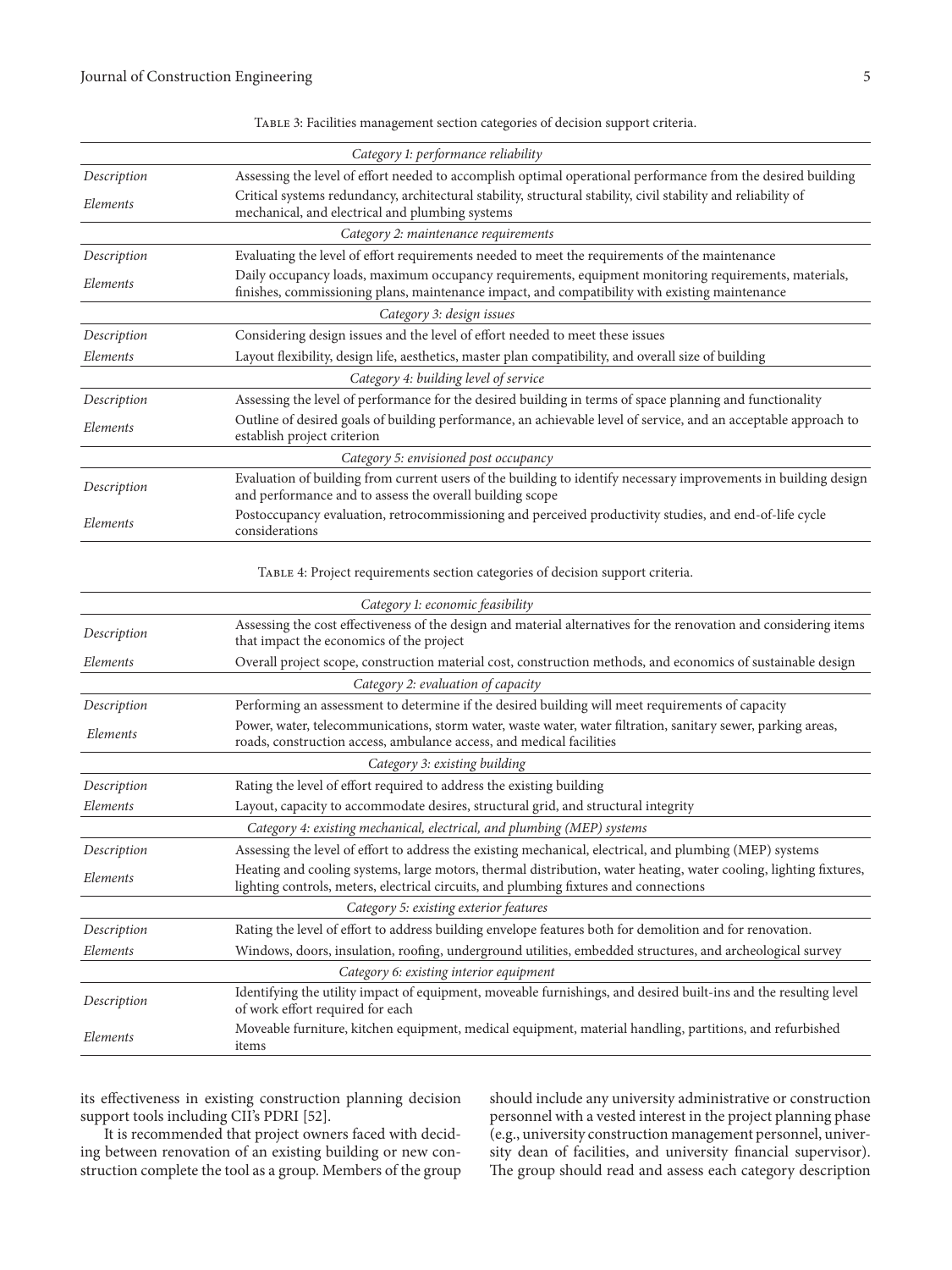| TABLE 3: Facilities management section categories of decision support criteria. |  |  |  |
|---------------------------------------------------------------------------------|--|--|--|
|                                                                                 |  |  |  |

|             | Category 1: performance reliability                                                                                                                                                                        |
|-------------|------------------------------------------------------------------------------------------------------------------------------------------------------------------------------------------------------------|
| Description | Assessing the level of effort needed to accomplish optimal operational performance from the desired building                                                                                               |
| Elements    | Critical systems redundancy, architectural stability, structural stability, civil stability and reliability of<br>mechanical, and electrical and plumbing systems                                          |
|             | Category 2: maintenance requirements                                                                                                                                                                       |
| Description | Evaluating the level of effort requirements needed to meet the requirements of the maintenance                                                                                                             |
| Elements    | Daily occupancy loads, maximum occupancy requirements, equipment monitoring requirements, materials,<br>finishes, commissioning plans, maintenance impact, and compatibility with existing maintenance     |
|             | Category 3: design issues                                                                                                                                                                                  |
| Description | Considering design issues and the level of effort needed to meet these issues                                                                                                                              |
| Elements    | Layout flexibility, design life, aesthetics, master plan compatibility, and overall size of building                                                                                                       |
|             | Category 4: building level of service                                                                                                                                                                      |
| Description | Assessing the level of performance for the desired building in terms of space planning and functionality                                                                                                   |
| Elements    | Outline of desired goals of building performance, an achievable level of service, and an acceptable approach to<br>establish project criterion                                                             |
|             | Category 5: envisioned post occupancy                                                                                                                                                                      |
| Description | Evaluation of building from current users of the building to identify necessary improvements in building design<br>and performance and to assess the overall building scope                                |
| Elements    | Postoccupancy evaluation, retrocommissioning and perceived productivity studies, and end-of-life cycle<br>considerations                                                                                   |
|             | TABLE 4: Project requirements section categories of decision support criteria.                                                                                                                             |
|             | Category 1: economic feasibility                                                                                                                                                                           |
| Description | Assessing the cost effectiveness of the design and material alternatives for the renovation and considering items<br>that impact the economics of the project                                              |
| Elements    | Overall project scope, construction material cost, construction methods, and economics of sustainable design                                                                                               |
|             | Category 2: evaluation of capacity                                                                                                                                                                         |
| Description | Performing an assessment to determine if the desired building will meet requirements of capacity                                                                                                           |
| Elements    | Power, water, telecommunications, storm water, waste water, water filtration, sanitary sewer, parking areas,<br>roads, construction access, ambulance access, and medical facilities                       |
|             | Category 3: existing building                                                                                                                                                                              |
| Description | Rating the level of effort required to address the existing building                                                                                                                                       |
| Elements    | Layout, capacity to accommodate desires, structural grid, and structural integrity                                                                                                                         |
|             | Category 4: existing mechanical, electrical, and plumbing (MEP) systems                                                                                                                                    |
| Description | Assessing the level of effort to address the existing mechanical, electrical, and plumbing (MEP) systems                                                                                                   |
| Elements    | Heating and cooling systems, large motors, thermal distribution, water heating, water cooling, lighting fixtures,<br>lighting controls, meters, electrical circuits, and plumbing fixtures and connections |
|             | Category 5: existing exterior features                                                                                                                                                                     |
| Description | Rating the level of effort to address building envelope features both for demolition and for renovation.                                                                                                   |
| Elements    | Windows, doors, insulation, roofing, underground utilities, embedded structures, and archeological survey                                                                                                  |
|             | Category 6: existing interior equipment                                                                                                                                                                    |
| Description | Identifying the utility impact of equipment, moveable furnishings, and desired built-ins and the resulting level<br>of work effort required for each                                                       |
| Elements    | Moveable furniture, kitchen equipment, medical equipment, material handling, partitions, and refurbished<br>items                                                                                          |

its effectiveness in existing construction planning decision support tools including CII's PDRI [52].

It is recommended that project owners faced with deciding between renovation of an existing building or new construction complete the tool as a group. Members of the group should include any university administrative or construction personnel with a vested interest in the project planning phase (e.g., university construction management personnel, university dean of facilities, and university financial supervisor). The group should read and assess each category description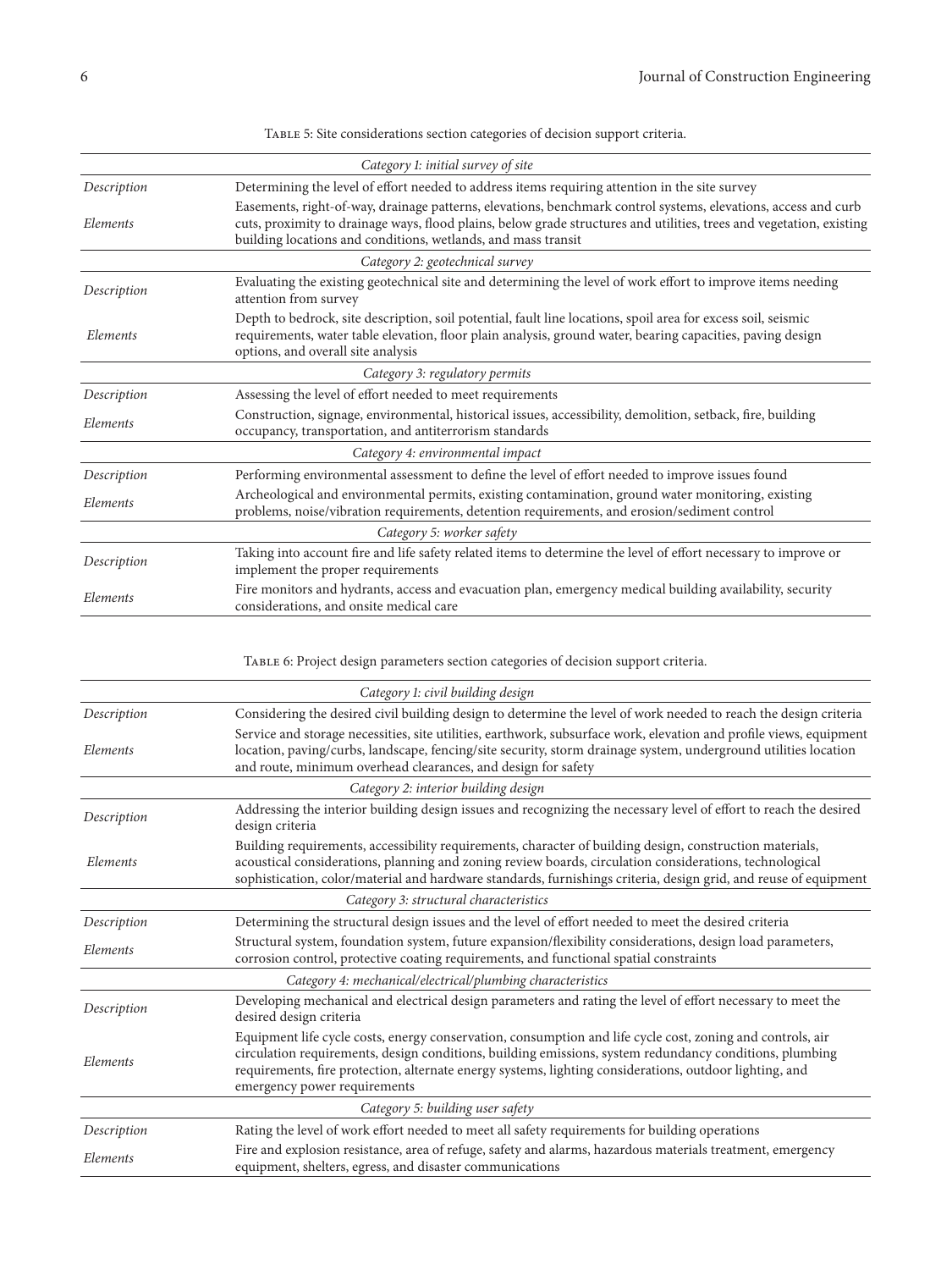|             | Category 1: initial survey of site                                                                                                                                                                                                                                                                                                                               |
|-------------|------------------------------------------------------------------------------------------------------------------------------------------------------------------------------------------------------------------------------------------------------------------------------------------------------------------------------------------------------------------|
| Description | Determining the level of effort needed to address items requiring attention in the site survey                                                                                                                                                                                                                                                                   |
| Elements    | Easements, right-of-way, drainage patterns, elevations, benchmark control systems, elevations, access and curb<br>cuts, proximity to drainage ways, flood plains, below grade structures and utilities, trees and vegetation, existing<br>building locations and conditions, wetlands, and mass transit                                                          |
|             | Category 2: geotechnical survey                                                                                                                                                                                                                                                                                                                                  |
| Description | Evaluating the existing geotechnical site and determining the level of work effort to improve items needing<br>attention from survey                                                                                                                                                                                                                             |
| Elements    | Depth to bedrock, site description, soil potential, fault line locations, spoil area for excess soil, seismic<br>requirements, water table elevation, floor plain analysis, ground water, bearing capacities, paving design<br>options, and overall site analysis                                                                                                |
|             | Category 3: regulatory permits                                                                                                                                                                                                                                                                                                                                   |
| Description | Assessing the level of effort needed to meet requirements                                                                                                                                                                                                                                                                                                        |
| Elements    | Construction, signage, environmental, historical issues, accessibility, demolition, setback, fire, building<br>occupancy, transportation, and antiterrorism standards                                                                                                                                                                                            |
|             | Category 4: environmental impact                                                                                                                                                                                                                                                                                                                                 |
| Description | Performing environmental assessment to define the level of effort needed to improve issues found                                                                                                                                                                                                                                                                 |
| Elements    | Archeological and environmental permits, existing contamination, ground water monitoring, existing<br>problems, noise/vibration requirements, detention requirements, and erosion/sediment control                                                                                                                                                               |
|             | Category 5: worker safety                                                                                                                                                                                                                                                                                                                                        |
| Description | Taking into account fire and life safety related items to determine the level of effort necessary to improve or<br>implement the proper requirements                                                                                                                                                                                                             |
| Elements    | Fire monitors and hydrants, access and evacuation plan, emergency medical building availability, security<br>considerations, and onsite medical care                                                                                                                                                                                                             |
|             | TABLE 6: Project design parameters section categories of decision support criteria.<br>Category 1: civil building design                                                                                                                                                                                                                                         |
| Description | Considering the desired civil building design to determine the level of work needed to reach the design criteria                                                                                                                                                                                                                                                 |
| Elements    | Service and storage necessities, site utilities, earthwork, subsurface work, elevation and profile views, equipment<br>location, paving/curbs, landscape, fencing/site security, storm drainage system, underground utilities location<br>and route, minimum overhead clearances, and design for safety                                                          |
|             | Category 2: interior building design                                                                                                                                                                                                                                                                                                                             |
| Description | Addressing the interior building design issues and recognizing the necessary level of effort to reach the desired<br>design criteria                                                                                                                                                                                                                             |
| Elements    | Building requirements, accessibility requirements, character of building design, construction materials,<br>acoustical considerations, planning and zoning review boards, circulation considerations, technological<br>sophistication, color/material and hardware standards, furnishings criteria, design grid, and reuse of equipment                          |
|             | Category 3: structural characteristics                                                                                                                                                                                                                                                                                                                           |
| Description | Determining the structural design issues and the level of effort needed to meet the desired criteria                                                                                                                                                                                                                                                             |
| Elements    | Structural system, foundation system, future expansion/flexibility considerations, design load parameters,<br>corrosion control, protective coating requirements, and functional spatial constraints                                                                                                                                                             |
|             | Category 4: mechanical/electrical/plumbing characteristics                                                                                                                                                                                                                                                                                                       |
| Description | Developing mechanical and electrical design parameters and rating the level of effort necessary to meet the<br>desired design criteria                                                                                                                                                                                                                           |
| Elements    | Equipment life cycle costs, energy conservation, consumption and life cycle cost, zoning and controls, air<br>circulation requirements, design conditions, building emissions, system redundancy conditions, plumbing<br>requirements, fire protection, alternate energy systems, lighting considerations, outdoor lighting, and<br>emergency power requirements |
|             | Category 5: building user safety                                                                                                                                                                                                                                                                                                                                 |
| Description | Rating the level of work effort needed to meet all safety requirements for building operations                                                                                                                                                                                                                                                                   |
| Elements    | Fire and explosion resistance, area of refuge, safety and alarms, hazardous materials treatment, emergency<br>equipment, shelters, egress, and disaster communications                                                                                                                                                                                           |
|             |                                                                                                                                                                                                                                                                                                                                                                  |

Table 5: Site considerations section categories of decision support criteria.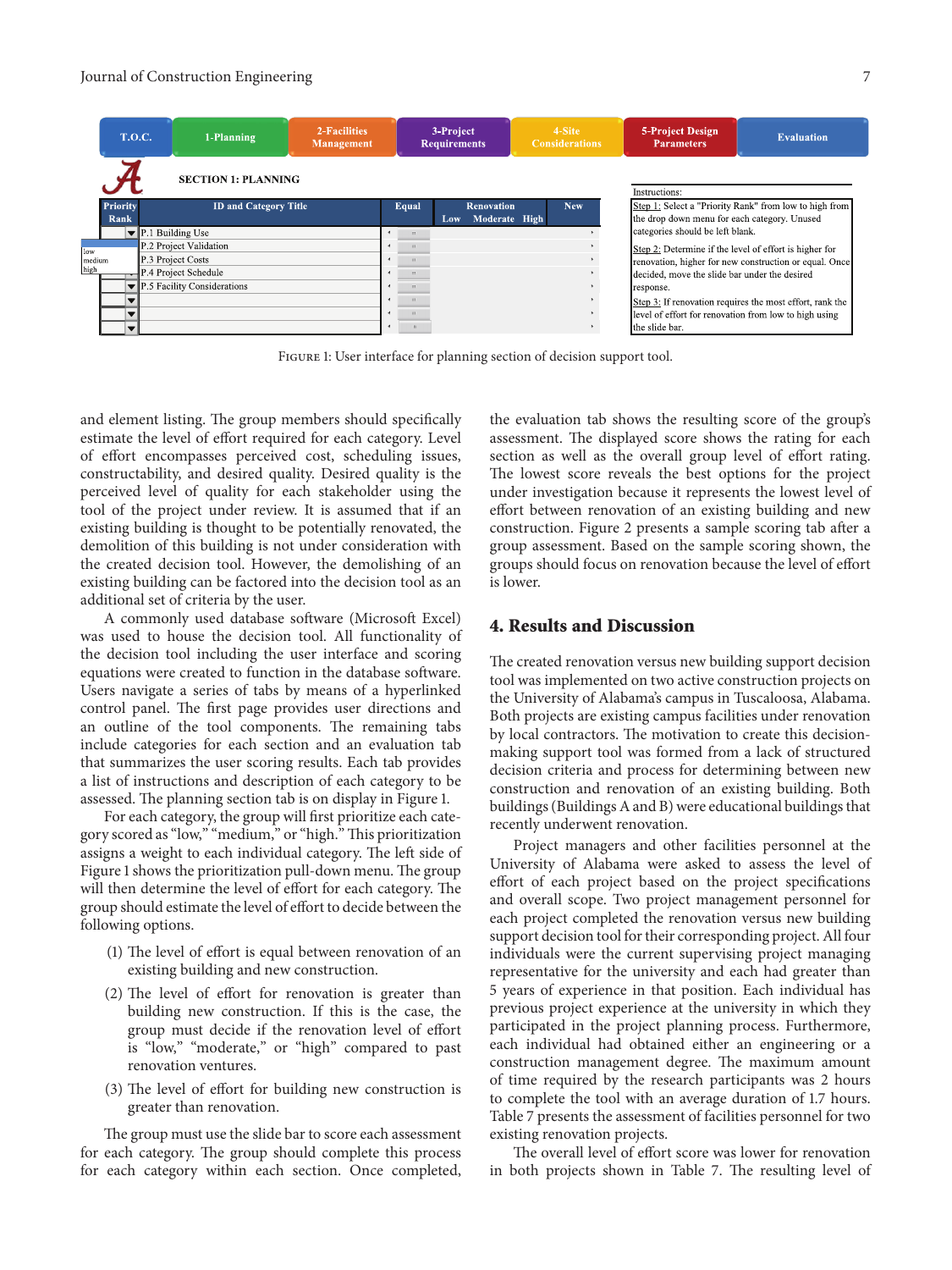#### Journal of Construction Engineering 7

|        |                            | <b>T.O.C.</b>                | 2-Facilities<br>1-Planning<br><b>Management</b>                          |  |  | 3-Project<br><b>Requirements</b> |                                                                                                                   |  |            | 4-Site<br><b>Considerations</b> |                                                        | <b>5-Project Design</b><br><b>Parameters</b>           | <b>Evaluation</b>                                      |
|--------|----------------------------|------------------------------|--------------------------------------------------------------------------|--|--|----------------------------------|-------------------------------------------------------------------------------------------------------------------|--|------------|---------------------------------|--------------------------------------------------------|--------------------------------------------------------|--------------------------------------------------------|
|        | <b>SECTION 1: PLANNING</b> |                              |                                                                          |  |  |                                  |                                                                                                                   |  |            |                                 |                                                        | Instructions:                                          |                                                        |
|        | Priority                   | <b>ID and Category Title</b> |                                                                          |  |  | Equal                            | <b>Renovation</b><br>Moderate High<br>Low.                                                                        |  | <b>New</b> |                                 | Step 1: Select a "Priority Rank" from low to high from |                                                        |                                                        |
|        | Rank                       |                              |                                                                          |  |  |                                  |                                                                                                                   |  |            |                                 |                                                        | the drop down menu for each category. Unused           |                                                        |
|        |                            |                              | P.1 Building Use                                                         |  |  | categories should be left blank. |                                                                                                                   |  |            |                                 |                                                        |                                                        |                                                        |
| low    |                            |                              | P.2 Project Validation                                                   |  |  |                                  |                                                                                                                   |  |            |                                 |                                                        | Step 2: Determine if the level of effort is higher for |                                                        |
| medium |                            |                              | P.3 Project Costs<br>P.4 Project Schedule<br>P.5 Facility Considerations |  |  |                                  |                                                                                                                   |  |            |                                 |                                                        |                                                        | renovation, higher for new construction or equal. Once |
| high   |                            |                              |                                                                          |  |  |                                  |                                                                                                                   |  |            |                                 |                                                        | decided, move the slide bar under the desired          |                                                        |
|        |                            |                              |                                                                          |  |  | $\mathbf{m}$                     |                                                                                                                   |  |            |                                 |                                                        | response.                                              |                                                        |
|        |                            |                              |                                                                          |  |  |                                  | Step 3: If renovation requires the most effort, rank the<br>level of effort for renovation from low to high using |  |            |                                 |                                                        |                                                        |                                                        |
|        |                            |                              |                                                                          |  |  |                                  |                                                                                                                   |  |            |                                 |                                                        |                                                        |                                                        |
|        |                            |                              |                                                                          |  |  |                                  |                                                                                                                   |  |            |                                 |                                                        | the slide bar.                                         |                                                        |

Figure 1: User interface for planning section of decision support tool.

and element listing. The group members should specifically estimate the level of effort required for each category. Level of effort encompasses perceived cost, scheduling issues, constructability, and desired quality. Desired quality is the perceived level of quality for each stakeholder using the tool of the project under review. It is assumed that if an existing building is thought to be potentially renovated, the demolition of this building is not under consideration with the created decision tool. However, the demolishing of an existing building can be factored into the decision tool as an additional set of criteria by the user.

A commonly used database software (Microsoft Excel) was used to house the decision tool. All functionality of the decision tool including the user interface and scoring equations were created to function in the database software. Users navigate a series of tabs by means of a hyperlinked control panel. The first page provides user directions and an outline of the tool components. The remaining tabs include categories for each section and an evaluation tab that summarizes the user scoring results. Each tab provides a list of instructions and description of each category to be assessed. The planning section tab is on display in Figure 1.

For each category, the group will first prioritize each category scored as "low," "medium," or "high."This prioritization assigns a weight to each individual category. The left side of Figure 1 shows the prioritization pull-down menu. The group will then determine the level of effort for each category. The group should estimate the level of effort to decide between the following options.

- (1) The level of effort is equal between renovation of an existing building and new construction.
- (2) The level of effort for renovation is greater than building new construction. If this is the case, the group must decide if the renovation level of effort is "low," "moderate," or "high" compared to past renovation ventures.
- (3) The level of effort for building new construction is greater than renovation.

The group must use the slide bar to score each assessment for each category. The group should complete this process for each category within each section. Once completed, the evaluation tab shows the resulting score of the group's assessment. The displayed score shows the rating for each section as well as the overall group level of effort rating. The lowest score reveals the best options for the project under investigation because it represents the lowest level of effort between renovation of an existing building and new construction. Figure 2 presents a sample scoring tab after a group assessment. Based on the sample scoring shown, the groups should focus on renovation because the level of effort is lower.

#### **4. Results and Discussion**

The created renovation versus new building support decision tool was implemented on two active construction projects on the University of Alabama's campus in Tuscaloosa, Alabama. Both projects are existing campus facilities under renovation by local contractors. The motivation to create this decisionmaking support tool was formed from a lack of structured decision criteria and process for determining between new construction and renovation of an existing building. Both buildings (Buildings A and B) were educational buildings that recently underwent renovation.

Project managers and other facilities personnel at the University of Alabama were asked to assess the level of effort of each project based on the project specifications and overall scope. Two project management personnel for each project completed the renovation versus new building support decision tool for their corresponding project. All four individuals were the current supervising project managing representative for the university and each had greater than 5 years of experience in that position. Each individual has previous project experience at the university in which they participated in the project planning process. Furthermore, each individual had obtained either an engineering or a construction management degree. The maximum amount of time required by the research participants was 2 hours to complete the tool with an average duration of 1.7 hours. Table 7 presents the assessment of facilities personnel for two existing renovation projects.

The overall level of effort score was lower for renovation in both projects shown in Table 7. The resulting level of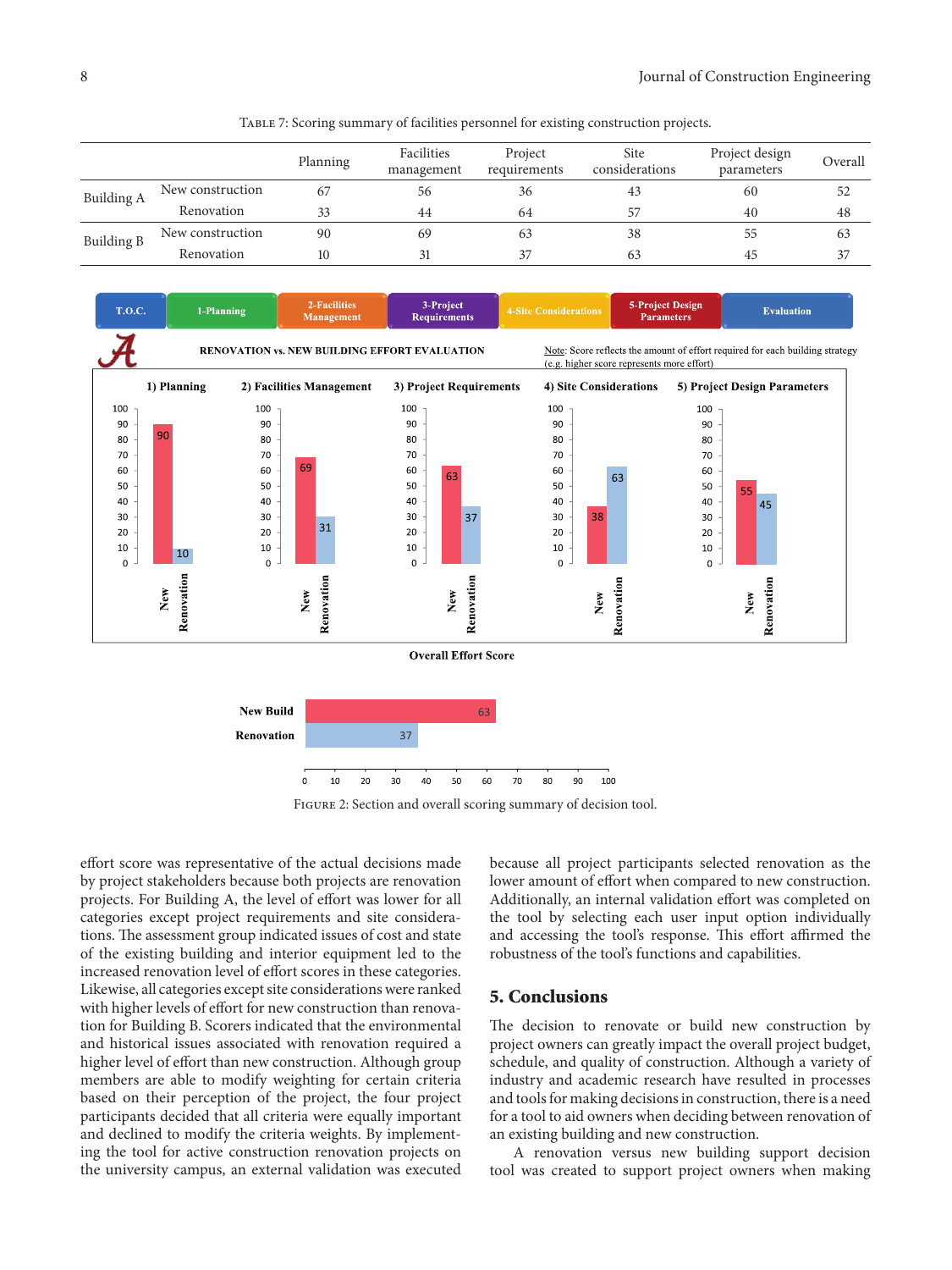|                   |                  | Planning | Facilities<br>management | Project<br>requirements | Site<br>considerations | Project design<br>parameters | Overall |
|-------------------|------------------|----------|--------------------------|-------------------------|------------------------|------------------------------|---------|
| Building A        | New construction |          | 56                       | 36                      | 43                     | 60                           | 52      |
|                   | Renovation       | 33       | 44                       | 64                      | 57                     | 40                           | 48      |
| <b>Building B</b> | New construction | 90       | 69                       | 63                      | 38                     | 55                           | 63      |
|                   | Renovation       | 10       | 31                       | 37                      | 63                     | 45                           | 37      |

Table 7: Scoring summary of facilities personnel for existing construction projects.



Figure 2: Section and overall scoring summary of decision tool.

effort score was representative of the actual decisions made by project stakeholders because both projects are renovation projects. For Building A, the level of effort was lower for all categories except project requirements and site considerations. The assessment group indicated issues of cost and state of the existing building and interior equipment led to the increased renovation level of effort scores in these categories. Likewise, all categories except site considerations were ranked with higher levels of effort for new construction than renovation for Building B. Scorers indicated that the environmental and historical issues associated with renovation required a higher level of effort than new construction. Although group members are able to modify weighting for certain criteria based on their perception of the project, the four project participants decided that all criteria were equally important and declined to modify the criteria weights. By implementing the tool for active construction renovation projects on the university campus, an external validation was executed

because all project participants selected renovation as the lower amount of effort when compared to new construction. Additionally, an internal validation effort was completed on the tool by selecting each user input option individually and accessing the tool's response. This effort affirmed the robustness of the tool's functions and capabilities.

#### **5. Conclusions**

The decision to renovate or build new construction by project owners can greatly impact the overall project budget, schedule, and quality of construction. Although a variety of industry and academic research have resulted in processes and tools for making decisions in construction, there is a need for a tool to aid owners when deciding between renovation of an existing building and new construction.

A renovation versus new building support decision tool was created to support project owners when making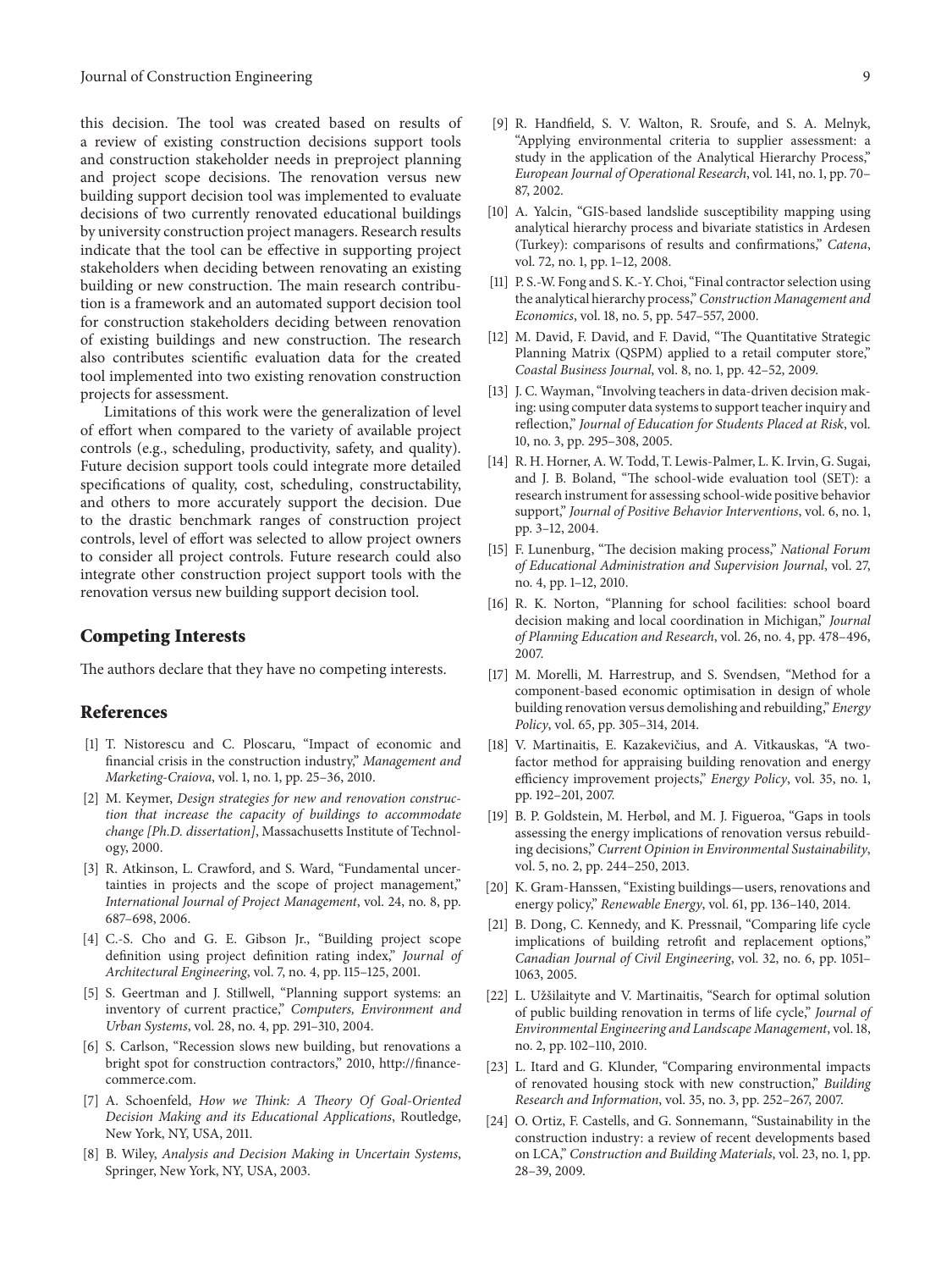this decision. The tool was created based on results of a review of existing construction decisions support tools and construction stakeholder needs in preproject planning and project scope decisions. The renovation versus new building support decision tool was implemented to evaluate decisions of two currently renovated educational buildings by university construction project managers. Research results indicate that the tool can be effective in supporting project stakeholders when deciding between renovating an existing building or new construction. The main research contribution is a framework and an automated support decision tool for construction stakeholders deciding between renovation of existing buildings and new construction. The research also contributes scientific evaluation data for the created tool implemented into two existing renovation construction projects for assessment.

Limitations of this work were the generalization of level of effort when compared to the variety of available project controls (e.g., scheduling, productivity, safety, and quality). Future decision support tools could integrate more detailed specifications of quality, cost, scheduling, constructability, and others to more accurately support the decision. Due to the drastic benchmark ranges of construction project controls, level of effort was selected to allow project owners to consider all project controls. Future research could also integrate other construction project support tools with the renovation versus new building support decision tool.

#### **Competing Interests**

The authors declare that they have no competing interests.

#### **References**

- [1] T. Nistorescu and C. Ploscaru, "Impact of economic and financial crisis in the construction industry," *Management and Marketing-Craiova*, vol. 1, no. 1, pp. 25–36, 2010.
- [2] M. Keymer, *Design strategies for new and renovation construction that increase the capacity of buildings to accommodate change [Ph.D. dissertation]*, Massachusetts Institute of Technology, 2000.
- [3] R. Atkinson, L. Crawford, and S. Ward, "Fundamental uncertainties in projects and the scope of project management," *International Journal of Project Management*, vol. 24, no. 8, pp. 687–698, 2006.
- [4] C.-S. Cho and G. E. Gibson Jr., "Building project scope definition using project definition rating index," *Journal of Architectural Engineering*, vol. 7, no. 4, pp. 115–125, 2001.
- [5] S. Geertman and J. Stillwell, "Planning support systems: an inventory of current practice," *Computers, Environment and Urban Systems*, vol. 28, no. 4, pp. 291–310, 2004.
- [6] S. Carlson, "Recession slows new building, but renovations a bright spot for construction contractors," 2010, http://financecommerce.com.
- [7] A. Schoenfeld, *How we Think: A Theory Of Goal-Oriented Decision Making and its Educational Applications*, Routledge, New York, NY, USA, 2011.
- [8] B. Wiley, *Analysis and Decision Making in Uncertain Systems*, Springer, New York, NY, USA, 2003.
- [9] R. Handfield, S. V. Walton, R. Sroufe, and S. A. Melnyk, "Applying environmental criteria to supplier assessment: a study in the application of the Analytical Hierarchy Process," *European Journal of Operational Research*, vol. 141, no. 1, pp. 70– 87, 2002.
- [10] A. Yalcin, "GIS-based landslide susceptibility mapping using analytical hierarchy process and bivariate statistics in Ardesen (Turkey): comparisons of results and confirmations," *Catena*, vol. 72, no. 1, pp. 1–12, 2008.
- [11] P. S.-W. Fong and S. K.-Y. Choi, "Final contractor selection using the analytical hierarchy process,"*Construction Management and Economics*, vol. 18, no. 5, pp. 547–557, 2000.
- [12] M. David, F. David, and F. David, "The Quantitative Strategic Planning Matrix (QSPM) applied to a retail computer store," *Coastal Business Journal*, vol. 8, no. 1, pp. 42–52, 2009.
- [13] J. C. Wayman, "Involving teachers in data-driven decision making: using computer data systems to support teacher inquiry and reflection," *Journal of Education for Students Placed at Risk*, vol. 10, no. 3, pp. 295–308, 2005.
- [14] R. H. Horner, A. W. Todd, T. Lewis-Palmer, L. K. Irvin, G. Sugai, and J. B. Boland, "The school-wide evaluation tool (SET): a research instrument for assessing school-wide positive behavior support," *Journal of Positive Behavior Interventions*, vol. 6, no. 1, pp. 3–12, 2004.
- [15] F. Lunenburg, "The decision making process," *National Forum of Educational Administration and Supervision Journal*, vol. 27, no. 4, pp. 1–12, 2010.
- [16] R. K. Norton, "Planning for school facilities: school board decision making and local coordination in Michigan," *Journal of Planning Education and Research*, vol. 26, no. 4, pp. 478–496, 2007.
- [17] M. Morelli, M. Harrestrup, and S. Svendsen, "Method for a component-based economic optimisation in design of whole building renovation versus demolishing and rebuilding," *Energy Policy*, vol. 65, pp. 305–314, 2014.
- [18] V. Martinaitis, E. Kazakevičius, and A. Vitkauskas, "A twofactor method for appraising building renovation and energy efficiency improvement projects," *Energy Policy*, vol. 35, no. 1, pp. 192–201, 2007.
- [19] B. P. Goldstein, M. Herbøl, and M. J. Figueroa, "Gaps in tools assessing the energy implications of renovation versus rebuilding decisions," *Current Opinion in Environmental Sustainability*, vol. 5, no. 2, pp. 244–250, 2013.
- [20] K. Gram-Hanssen, "Existing buildings—users, renovations and energy policy," *Renewable Energy*, vol. 61, pp. 136–140, 2014.
- [21] B. Dong, C. Kennedy, and K. Pressnail, "Comparing life cycle implications of building retrofit and replacement options," *Canadian Journal of Civil Engineering*, vol. 32, no. 6, pp. 1051– 1063, 2005.
- [22] L. Užšilaityte and V. Martinaitis, "Search for optimal solution of public building renovation in terms of life cycle," *Journal of Environmental Engineering and Landscape Management*, vol. 18, no. 2, pp. 102–110, 2010.
- [23] L. Itard and G. Klunder, "Comparing environmental impacts of renovated housing stock with new construction," *Building Research and Information*, vol. 35, no. 3, pp. 252–267, 2007.
- [24] O. Ortiz, F. Castells, and G. Sonnemann, "Sustainability in the construction industry: a review of recent developments based on LCA," *Construction and Building Materials*, vol. 23, no. 1, pp. 28–39, 2009.